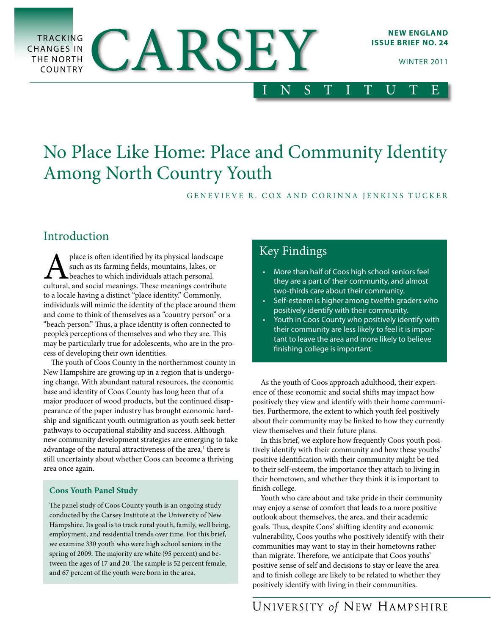

# No Place Like Home: Place and Community Identity Among North Country Youth

GENEVIEVE R. COX AND CORINNA JENKINS TUCKER

# Introduction

**A** place is often identified by its physical landscape such as its farming fields, mountains, lakes, or cheaches to which individuals attach personal, cultural, and social meanings. These meanings contribute such as its farming fields, mountains, lakes, or beaches to which individuals attach personal, to a locale having a distinct "place identity." Commonly, individuals will mimic the identity of the place around them and come to think of themselves as a "country person" or a "beach person." Thus, a place identity is often connected to people's perceptions of themselves and who they are. This may be particularly true for adolescents, who are in the process of developing their own identities.

The youth of Coos County in the northernmost county in New Hampshire are growing up in a region that is undergoing change. With abundant natural resources, the economic base and identity of Coos County has long been that of a major producer of wood products, but the continued disappearance of the paper industry has brought economic hardship and significant youth outmigration as youth seek better pathways to occupational stability and success. Although new community development strategies are emerging to take advantage of the natural attractiveness of the area,<sup>1</sup> there is still uncertainty about whether Coos can become a thriving area once again.

### **Coos Youth Panel Study**

The panel study of Coos County youth is an ongoing study conducted by the Carsey Institute at the University of New Hampshire. Its goal is to track rural youth, family, well being, employment, and residential trends over time. For this brief, we examine 330 youth who were high school seniors in the spring of 2009. The majority are white (95 percent) and between the ages of 17 and 20. The sample is 52 percent female, and 67 percent of the youth were born in the area.

## Key Findings

- • More than half of Coos high school seniors feel they are a part of their community, and almost two-thirds care about their community.
- Self-esteem is higher among twelfth graders who positively identify with their community.
- • Youth in Coos County who positively identify with their community are less likely to feel it is important to leave the area and more likely to believe finishing college is important.

As the youth of Coos approach adulthood, their experience of these economic and social shifts may impact how positively they view and identify with their home communities. Furthermore, the extent to which youth feel positively about their community may be linked to how they currently view themselves and their future plans.

In this brief, we explore how frequently Coos youth positively identify with their community and how these youths' positive identification with their community might be tied to their self-esteem, the importance they attach to living in their hometown, and whether they think it is important to finish college.

Youth who care about and take pride in their community may enjoy a sense of comfort that leads to a more positive outlook about themselves, the area, and their academic goals. Thus, despite Coos' shifting identity and economic vulnerability, Coos youths who positively identify with their communities may want to stay in their hometowns rather than migrate. Therefore, we anticipate that Coos youths' positive sense of self and decisions to stay or leave the area and to finish college are likely to be related to whether they positively identify with living in their communities.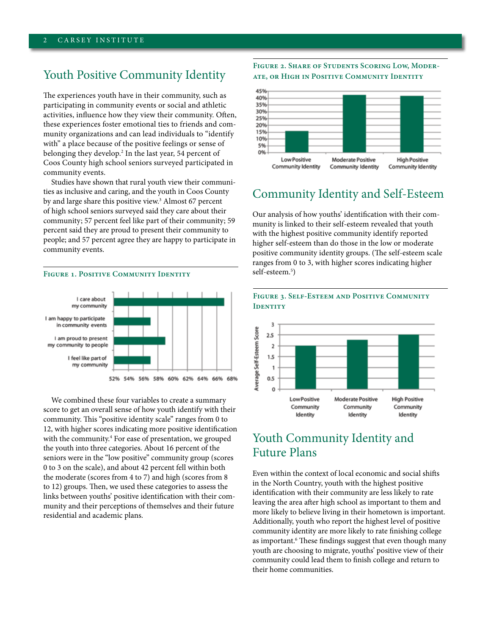### Youth Positive Community Identity

The experiences youth have in their community, such as participating in community events or social and athletic activities, influence how they view their community. Often, these experiences foster emotional ties to friends and community organizations and can lead individuals to "identify with" a place because of the positive feelings or sense of belonging they develop.<sup>2</sup> In the last year, 54 percent of Coos County high school seniors surveyed participated in community events.

Studies have shown that rural youth view their communities as inclusive and caring, and the youth in Coos County by and large share this positive view.<sup>3</sup> Almost 67 percent of high school seniors surveyed said they care about their community; 57 percent feel like part of their community; 59 percent said they are proud to present their community to people; and 57 percent agree they are happy to participate in community events.

### **FIGURE 1. POSITIVE COMMUNITY IDENTITY**



We combined these four variables to create a summary score to get an overall sense of how youth identify with their community. This "positive identity scale" ranges from 0 to 12, with higher scores indicating more positive identification with the community.<sup>4</sup> For ease of presentation, we grouped the youth into three categories. About 16 percent of the seniors were in the "low positive" community group (scores 0 to 3 on the scale), and about 42 percent fell within both the moderate (scores from 4 to 7) and high (scores from 8 to 12) groups. Then, we used these categories to assess the links between youths' positive identification with their community and their perceptions of themselves and their future residential and academic plans.

**Figure 2. Share of Students Scoring Low, Moderate, or High in Positive Community Identity**



### Community Identity and Self-Esteem

Our analysis of how youths' identification with their community is linked to their self-esteem revealed that youth with the highest positive community identify reported higher self-esteem than do those in the low or moderate positive community identity groups. (The self-esteem scale ranges from 0 to 3, with higher scores indicating higher self-esteem.5 )



#### **Figure 3. Self-Esteem and Positive Community IDENTITY**

### Youth Community Identity and Future Plans

Even within the context of local economic and social shifts in the North Country, youth with the highest positive identification with their community are less likely to rate leaving the area after high school as important to them and more likely to believe living in their hometown is important. Additionally, youth who report the highest level of positive community identity are more likely to rate finishing college as important.<sup>6</sup> These findings suggest that even though many youth are choosing to migrate, youths' positive view of their community could lead them to finish college and return to their home communities.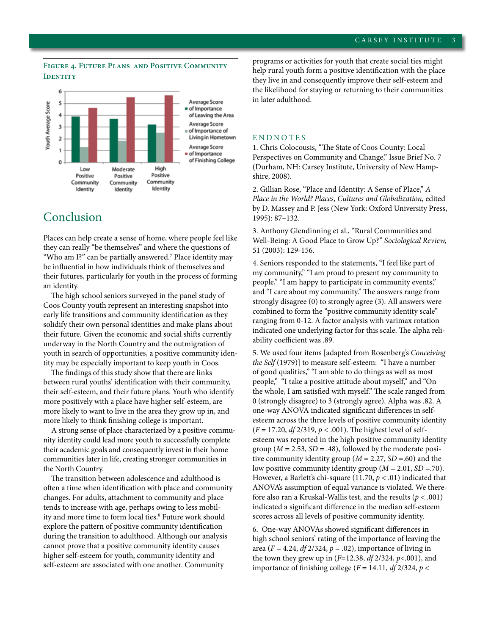### **Figure 4. Future Plans and Positive Community IDENTITY**



### Conclusion

Places can help create a sense of home, where people feel like they can really "be themselves" and where the questions of "Who am I?" can be partially answered.7 Place identity may be influential in how individuals think of themselves and their futures, particularly for youth in the process of forming an identity.

The high school seniors surveyed in the panel study of Coos County youth represent an interesting snapshot into early life transitions and community identification as they solidify their own personal identities and make plans about their future. Given the economic and social shifts currently underway in the North Country and the outmigration of youth in search of opportunities, a positive community identity may be especially important to keep youth in Coos.

The findings of this study show that there are links between rural youths' identification with their community, their self-esteem, and their future plans. Youth who identify more positively with a place have higher self-esteem, are more likely to want to live in the area they grow up in, and more likely to think finishing college is important.

A strong sense of place characterized by a positive community identity could lead more youth to successfully complete their academic goals and consequently invest in their home communities later in life, creating stronger communities in the North Country.

The transition between adolescence and adulthood is often a time when identification with place and community changes. For adults, attachment to community and place tends to increase with age, perhaps owing to less mobility and more time to form local ties.<sup>8</sup> Future work should explore the pattern of positive community identification during the transition to adulthood. Although our analysis cannot prove that a positive community identity causes higher self-esteem for youth, community identity and self-esteem are associated with one another. Community

programs or activities for youth that create social ties might help rural youth form a positive identification with the place they live in and consequently improve their self-esteem and the likelihood for staying or returning to their communities in later adulthood.

#### **ENDNOTES**

1. Chris Colocousis, "The State of Coos County: Local Perspectives on Community and Change," Issue Brief No. 7 (Durham, NH: Carsey Institute, University of New Hampshire, 2008).

2. Gillian Rose, "Place and Identity: A Sense of Place," *A Place in the World? Places, Cultures and Globalization*, edited by D. Massey and P. Jess (New York: Oxford University Press, 1995): 87–132.

3. Anthony Glendinning et al., "Rural Communities and Well-Being: A Good Place to Grow Up?" *Sociological Review,* 51 (2003): 129-156.

4. Seniors responded to the statements, "I feel like part of my community," "I am proud to present my community to people," "I am happy to participate in community events," and "I care about my community." The answers range from strongly disagree (0) to strongly agree (3). All answers were combined to form the "positive community identity scale" ranging from 0-12. A factor analysis with varimax rotation indicated one underlying factor for this scale. The alpha reliability coefficient was .89.

5. We used four items [adapted from Rosenberg's *Conceiving the Self* (1979)] to measure self-esteem: "I have a number of good qualities," "I am able to do things as well as most people," "I take a positive attitude about myself," and "On the whole, I am satisfied with myself." The scale ranged from 0 (strongly disagree) to 3 (strongly agree). Alpha was .82. A one-way ANOVA indicated significant differences in selfesteem across the three levels of positive community identity (*F* = 17.20, *df* 2/319, *p* < .001). The highest level of selfesteem was reported in the high positive community identity group ( $M = 2.53$ ,  $SD = .48$ ), followed by the moderate positive community identity group (*M* = 2.27, *SD* =.60) and the low positive community identity group (*M* = 2.01, *SD* =.70). However, a Barlett's chi-square (11.70,  $p < .01$ ) indicated that ANOVA's assumption of equal variance is violated. We therefore also ran a Kruskal-Wallis test, and the results (*p* < .001) indicated a significant difference in the median self-esteem scores across all levels of positive community identity.

6. One-way ANOVAs showed significant differences in high school seniors' rating of the importance of leaving the area ( $F = 4.24$ ,  $df \frac{2}{324}$ ,  $p = .02$ ), importance of living in the town they grew up in (*F*=12.38, *df* 2/324, *p*<.001), and importance of finishing college  $(F = 14.11, df2/324, p <$